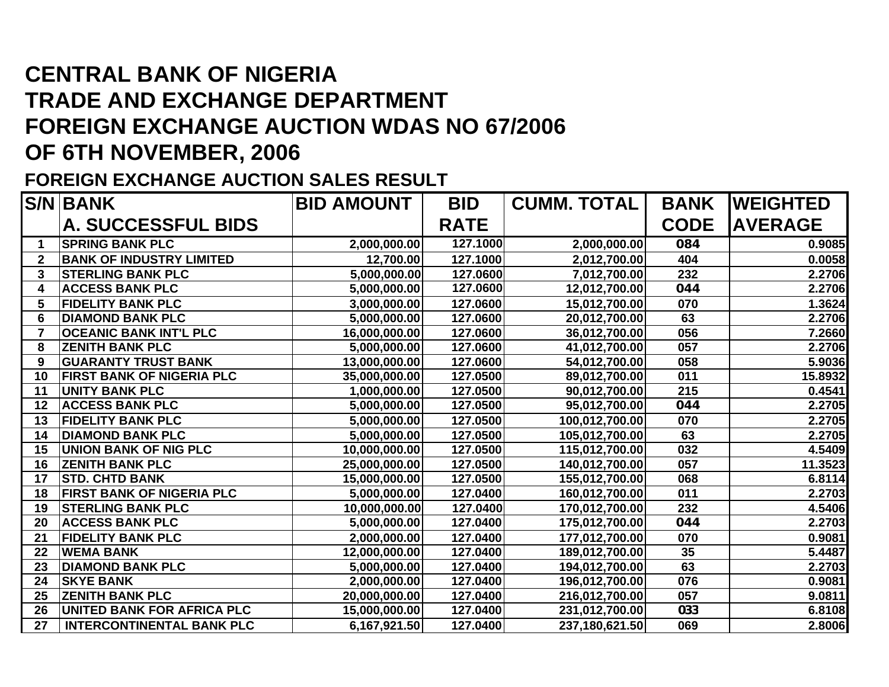## **CENTRAL BANK OF NIGERIA TRADE AND EXCHANGE DEPARTMENT FOREIGN EXCHANGE AUCTION WDAS NO 67/2006 OF 6TH NOVEMBER, 2006**

## **FOREIGN EXCHANGE AUCTION SALES RESULT**

|              | <b>S/N BANK</b>                   | <b>BID AMOUNT</b> | <b>BID</b>  | <b>CUMM. TOTAL</b> | <b>BANK</b> | <b>IWEIGHTED</b> |
|--------------|-----------------------------------|-------------------|-------------|--------------------|-------------|------------------|
|              | <b>A. SUCCESSFUL BIDS</b>         |                   | <b>RATE</b> |                    | <b>CODE</b> | <b>AVERAGE</b>   |
|              | <b>SPRING BANK PLC</b>            | 2,000,000.00      | 127.1000    | 2,000,000.00       | 084         | 0.9085           |
| $\mathbf{2}$ | <b>BANK OF INDUSTRY LIMITED</b>   | 12,700.00         | 127.1000    | 2,012,700.00       | 404         | 0.0058           |
| 3            | <b>STERLING BANK PLC</b>          | 5,000,000.00      | 127.0600    | 7,012,700.00       | 232         | 2.2706           |
| 4            | <b>ACCESS BANK PLC</b>            | 5,000,000.00      | 127.0600    | 12,012,700.00      | 044         | 2.2706           |
| 5            | <b>FIDELITY BANK PLC</b>          | 3,000,000.00      | 127.0600    | 15,012,700.00      | 070         | 1.3624           |
| 6            | <b>DIAMOND BANK PLC</b>           | 5,000,000.00      | 127.0600    | 20,012,700.00      | 63          | 2.2706           |
|              | <b>OCEANIC BANK INT'L PLC</b>     | 16,000,000.00     | 127.0600    | 36,012,700.00      | 056         | 7.2660           |
| 8            | <b>ZENITH BANK PLC</b>            | 5,000,000.00      | 127.0600    | 41,012,700.00      | 057         | 2.2706           |
| 9            | <b>GUARANTY TRUST BANK</b>        | 13,000,000.00     | 127.0600    | 54,012,700.00      | 058         | 5.9036           |
| 10           | <b>FIRST BANK OF NIGERIA PLC</b>  | 35,000,000.00     | 127.0500    | 89,012,700.00      | 011         | 15.8932          |
| 11           | <b>UNITY BANK PLC</b>             | 1,000,000.00      | 127.0500    | 90,012,700.00      | 215         | 0.4541           |
| 12           | <b>ACCESS BANK PLC</b>            | 5,000,000.00      | 127.0500    | 95,012,700.00      | 044         | 2.2705           |
| 13           | <b>FIDELITY BANK PLC</b>          | 5,000,000.00      | 127.0500    | 100,012,700.00     | 070         | 2.2705           |
| 14           | <b>DIAMOND BANK PLC</b>           | 5,000,000.00      | 127.0500    | 105,012,700.00     | 63          | 2.2705           |
| 15           | <b>UNION BANK OF NIG PLC</b>      | 10,000,000.00     | 127.0500    | 115,012,700.00     | 032         | 4.5409           |
| 16           | <b>ZENITH BANK PLC</b>            | 25,000,000.00     | 127.0500    | 140,012,700.00     | 057         | 11.3523          |
| 17           | <b>STD. CHTD BANK</b>             | 15,000,000.00     | 127.0500    | 155,012,700.00     | 068         | 6.8114           |
| 18           | <b>FIRST BANK OF NIGERIA PLC</b>  | 5,000,000.00      | 127.0400    | 160,012,700.00     | 011         | 2.2703           |
| 19           | <b>STERLING BANK PLC</b>          | 10,000,000.00     | 127.0400    | 170,012,700.00     | 232         | 4.5406           |
| 20           | <b>ACCESS BANK PLC</b>            | 5,000,000.00      | 127.0400    | 175,012,700.00     | 044         | 2.2703           |
| 21           | <b>FIDELITY BANK PLC</b>          | 2,000,000.00      | 127.0400    | 177,012,700.00     | 070         | 0.9081           |
| 22           | <b>WEMA BANK</b>                  | 12,000,000.00     | 127.0400    | 189,012,700.00     | 35          | 5.4487           |
| 23           | <b>DIAMOND BANK PLC</b>           | 5,000,000.00      | 127.0400    | 194,012,700.00     | 63          | 2.2703           |
| 24           | <b>SKYE BANK</b>                  | 2,000,000.00      | 127.0400    | 196,012,700.00     | 076         | 0.9081           |
| 25           | <b>ZENITH BANK PLC</b>            | 20,000,000.00     | 127.0400    | 216,012,700.00     | 057         | 9.0811           |
| 26           | <b>UNITED BANK FOR AFRICA PLC</b> | 15,000,000.00     | 127.0400    | 231,012,700.00     | 033         | 6.8108           |
| 27           | <b>INTERCONTINENTAL BANK PLC</b>  | 6,167,921.50      | 127.0400    | 237,180,621.50     | 069         | 2.8006           |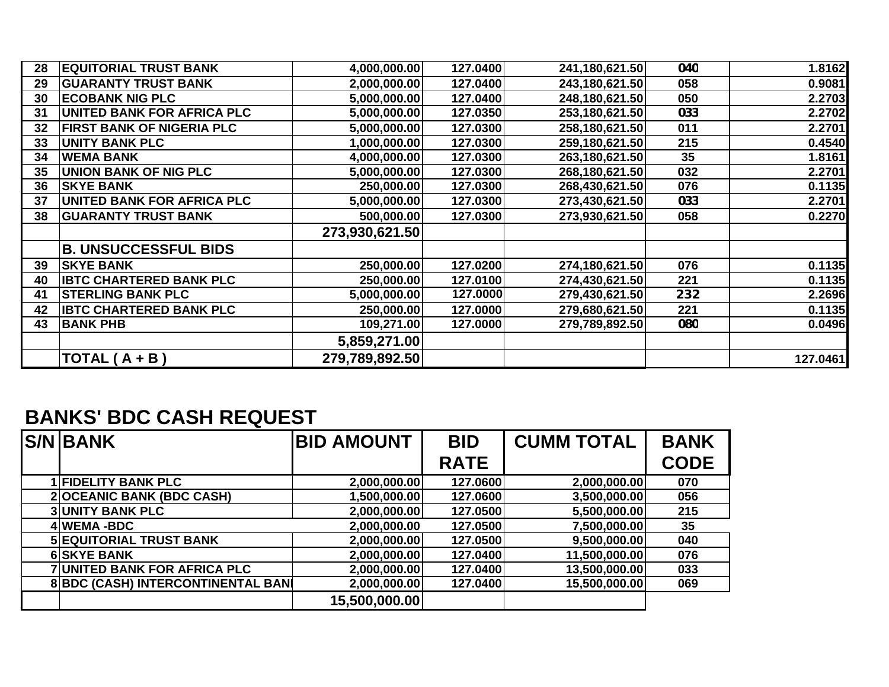| 28 | <b>EQUITORIAL TRUST BANK</b>     | 4,000,000.00   | 127.0400 | 241,180,621.50 | 040 | 1.8162   |
|----|----------------------------------|----------------|----------|----------------|-----|----------|
| 29 | <b>GUARANTY TRUST BANK</b>       | 2,000,000.00   | 127.0400 | 243,180,621.50 | 058 | 0.9081   |
| 30 | <b>ECOBANK NIG PLC</b>           | 5,000,000.00   | 127.0400 | 248,180,621.50 | 050 | 2.2703   |
| 31 | UNITED BANK FOR AFRICA PLC       | 5,000,000.00   | 127.0350 | 253,180,621.50 | 033 | 2.2702   |
| 32 | <b>FIRST BANK OF NIGERIA PLC</b> | 5,000,000.00   | 127.0300 | 258,180,621.50 | 011 | 2.2701   |
| 33 | <b>UNITY BANK PLC</b>            | 1,000,000.00   | 127.0300 | 259,180,621.50 | 215 | 0.4540   |
| 34 | <b>WEMA BANK</b>                 | 4,000,000.00   | 127.0300 | 263,180,621.50 | 35  | 1.8161   |
| 35 | <b>UNION BANK OF NIG PLC</b>     | 5,000,000.00   | 127.0300 | 268,180,621.50 | 032 | 2.2701   |
| 36 | <b>SKYE BANK</b>                 | 250,000.00     | 127.0300 | 268,430,621.50 | 076 | 0.1135   |
| 37 | UNITED BANK FOR AFRICA PLC       | 5,000,000.00   | 127.0300 | 273,430,621.50 | 033 | 2.2701   |
| 38 | <b>GUARANTY TRUST BANK</b>       | 500,000.00     | 127.0300 | 273,930,621.50 | 058 | 0.2270   |
|    |                                  | 273,930,621.50 |          |                |     |          |
|    | <b>B. UNSUCCESSFUL BIDS</b>      |                |          |                |     |          |
| 39 | <b>SKYE BANK</b>                 | 250,000.00     | 127.0200 | 274,180,621.50 | 076 | 0.1135   |
| 40 | <b>IBTC CHARTERED BANK PLC</b>   | 250,000.00     | 127.0100 | 274,430,621.50 | 221 | 0.1135   |
| 41 | <b>STERLING BANK PLC</b>         | 5,000,000.00   | 127.0000 | 279,430,621.50 | 232 | 2.2696   |
| 42 | <b>IBTC CHARTERED BANK PLC</b>   | 250,000.00     | 127.0000 | 279,680,621.50 | 221 | 0.1135   |
| 43 | <b>BANK PHB</b>                  | 109,271.00     | 127.0000 | 279,789,892.50 | 080 | 0.0496   |
|    |                                  | 5,859,271.00   |          |                |     |          |
|    | $TOTAL(A + B)$                   | 279,789,892.50 |          |                |     | 127.0461 |

## **BANKS' BDC CASH REQUEST**

| <b>S/N BANK</b>                     | <b>BID AMOUNT</b> | <b>BID</b>  | <b>CUMM TOTAL</b> | <b>BANK</b> |
|-------------------------------------|-------------------|-------------|-------------------|-------------|
|                                     |                   | <b>RATE</b> |                   | <b>CODE</b> |
| <b>1 FIDELITY BANK PLC</b>          | 2,000,000.00      | 127.0600    | 2,000,000.00      | 070         |
| 2 OCEANIC BANK (BDC CASH)           | 1,500,000.00      | 127.0600    | 3,500,000.00      | 056         |
| <b>3 UNITY BANK PLC</b>             | 2,000,000.00      | 127.0500    | 5,500,000.00      | 215         |
| 4 WEMA-BDC                          | 2,000,000.00      | 127.0500    | 7,500,000.00      | 35          |
| <b>5 EQUITORIAL TRUST BANK</b>      | 2,000,000.00      | 127.0500    | 9,500,000.00      | 040         |
| <b>6 SKYE BANK</b>                  | 2,000,000.00      | 127.0400    | 11,500,000.00     | 076         |
| <b>7 UNITED BANK FOR AFRICA PLC</b> | 2,000,000.00      | 127.0400    | 13,500,000.00     | 033         |
| 8 BDC (CASH) INTERCONTINENTAL BAN   | 2,000,000.00      | 127.0400    | 15,500,000.00     | 069         |
|                                     | 15,500,000.00     |             |                   |             |